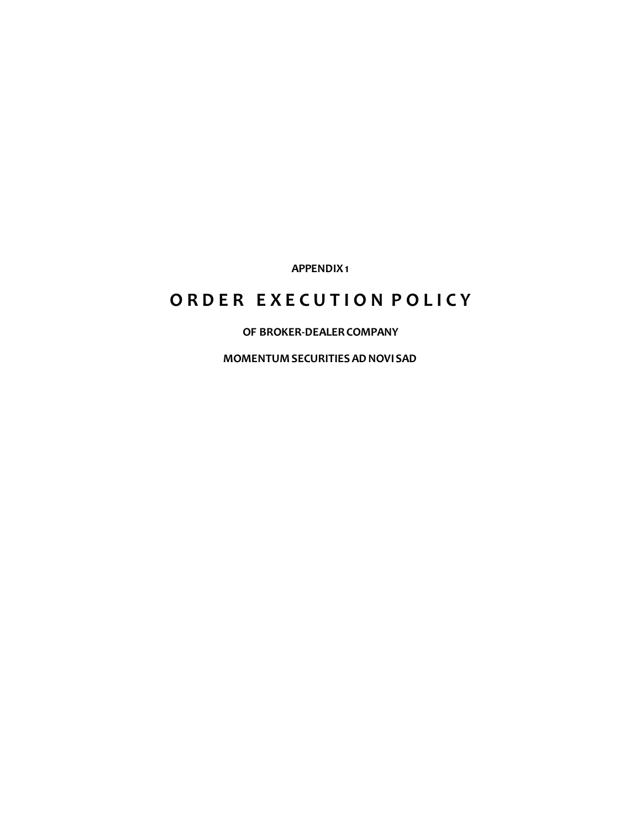**APPENDIX 1**

# **O R D E R E X E C U T I O N P O L I C Y**

**OF BROKER-DEALER COMPANY**

**MOMENTUM SECURITIES AD NOVI SAD**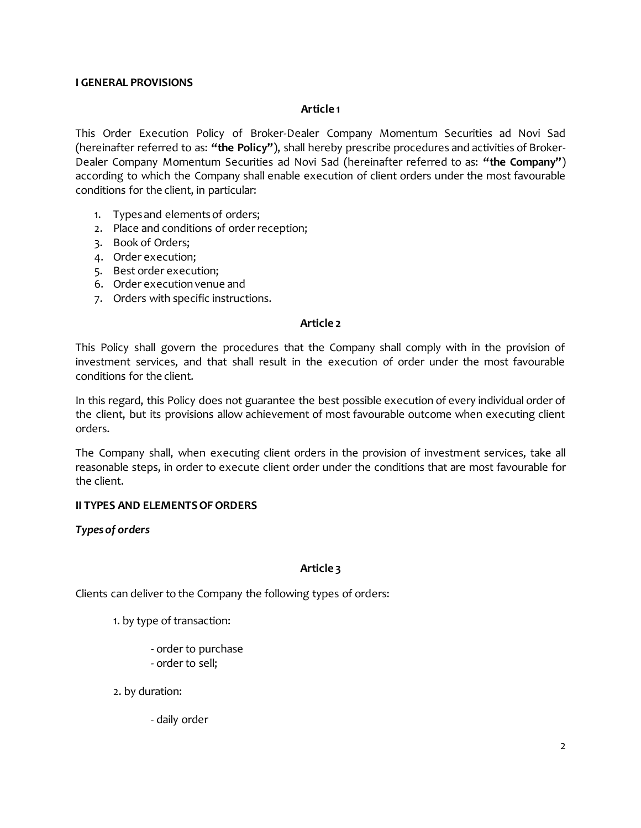# **I GENERAL PROVISIONS**

## **Article 1**

This Order Execution Policy of Broker-Dealer Company Momentum Securities ad Novi Sad (hereinafter referred to as: **"the Policy"**), shall hereby prescribe procedures and activities of Broker-Dealer Company Momentum Securities ad Novi Sad (hereinafter referred to as: **"the Company"**) according to which the Company shall enable execution of client orders under the most favourable conditions for the client, in particular:

- 1. Types and elementsof orders;
- 2. Place and conditions of order reception;
- 3. Book of Orders;
- 4. Order execution;
- 5. Best order execution;
- 6. Order execution venue and
- 7. Orders with specific instructions.

#### **Article 2**

This Policy shall govern the procedures that the Company shall comply with in the provision of investment services, and that shall result in the execution of order under the most favourable conditions for the client.

In this regard, this Policy does not guarantee the best possible execution of every individual order of the client, but its provisions allow achievement of most favourable outcome when executing client orders.

The Company shall, when executing client orders in the provision of investment services, take all reasonable steps, in order to execute client order under the conditions that are most favourable for the client.

## **II TYPES AND ELEMENTS OF ORDERS**

## *Types of orders*

## **Article 3**

Clients can deliver to the Company the following types of orders:

- 1. by type of transaction:
	- order to purchase
	- order to sell;
- 2. by duration:
	- daily order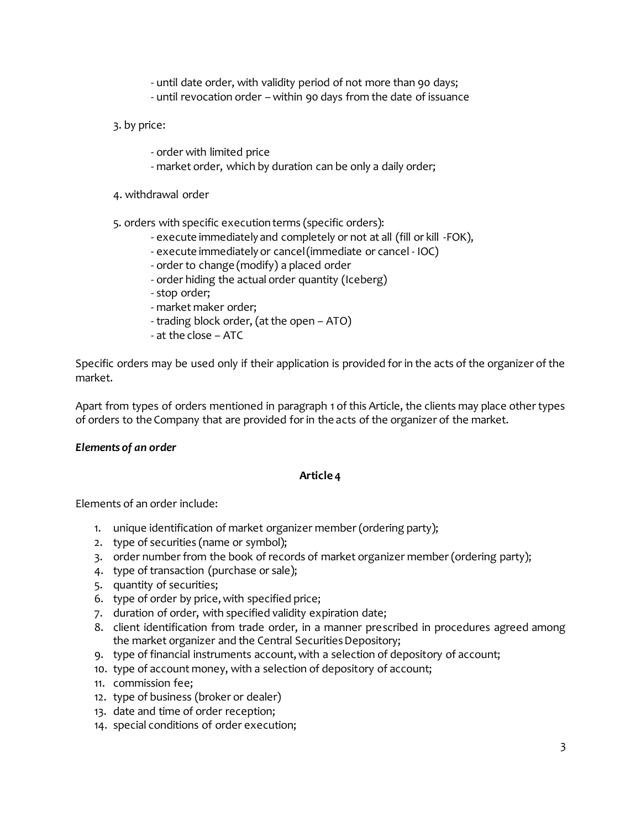- until date order, with validity period of not more than 90 days;
- until revocation order within 90 days from the date of issuance
- 3. by price:
	- order with limited price
	- market order, which by duration can be only a daily order;
- 4. withdrawal order

5. orders with specific execution terms (specific orders):

- execute immediately and completely or not at all (fill or kill -FOK),
- execute immediately or cancel (immediate or cancel IOC)
- order to change (modify) a placed order
- order hiding the actual order quantity (Iceberg)
- stop order;
- market maker order;
- trading block order, (at the open ATO)
- at the close ATC

Specific orders may be used only if their application is provided for in the acts of the organizer of the market.

Apart from types of orders mentioned in paragraph 1 of this Article, the clients may place other types of orders to the Company that are provided for in the acts of the organizer of the market.

## *Elements of an order*

## **Article 4**

Elements of an order include:

- 1. unique identification of market organizer member (ordering party);
- 2. type of securities (name or symbol);
- 3. order number from the book of records of market organizer member (ordering party);
- 4. type of transaction (purchase or sale);
- 5. quantity of securities;
- 6. type of order by price, with specified price;
- 7. duration of order, with specified validity expiration date;
- 8. client identification from trade order, in a manner prescribed in procedures agreed among the market organizer and the Central Securities Depository;
- 9. type of financial instruments account, with a selection of depository of account;
- 10. type of account money, with a selection of depository of account;
- 11. commission fee;
- 12. type of business (broker or dealer)
- 13. date and time of order reception;
- 14. special conditions of order execution;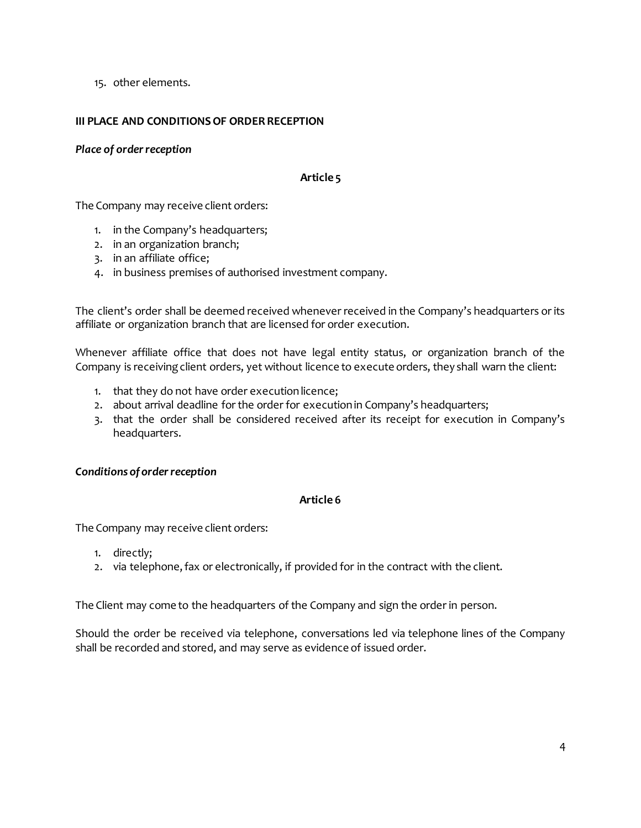15. other elements.

# **III PLACE AND CONDITIONS OF ORDER RECEPTION**

# *Place of order reception*

## **Article 5**

The Company may receive client orders:

- 1. in the Company's headquarters;
- 2. in an organization branch;
- 3. in an affiliate office;
- 4. in business premises of authorised investment company.

The client's order shall be deemed received whenever received in the Company's headquarters or its affiliate or organization branch that are licensed for order execution.

Whenever affiliate office that does not have legal entity status, or organization branch of the Company is receiving client orders, yet without licence to execute orders, they shall warn the client:

- 1. that they do not have order execution licence;
- 2. about arrival deadline for the order for execution in Company's headquarters;
- 3. that the order shall be considered received after its receipt for execution in Company's headquarters.

## *Conditions of order reception*

# **Article 6**

The Company may receive client orders:

- 1. directly;
- 2. via telephone, fax or electronically, if provided for in the contract with the client.

The Client may come to the headquarters of the Company and sign the order in person.

Should the order be received via telephone, conversations led via telephone lines of the Company shall be recorded and stored, and may serve as evidence of issued order.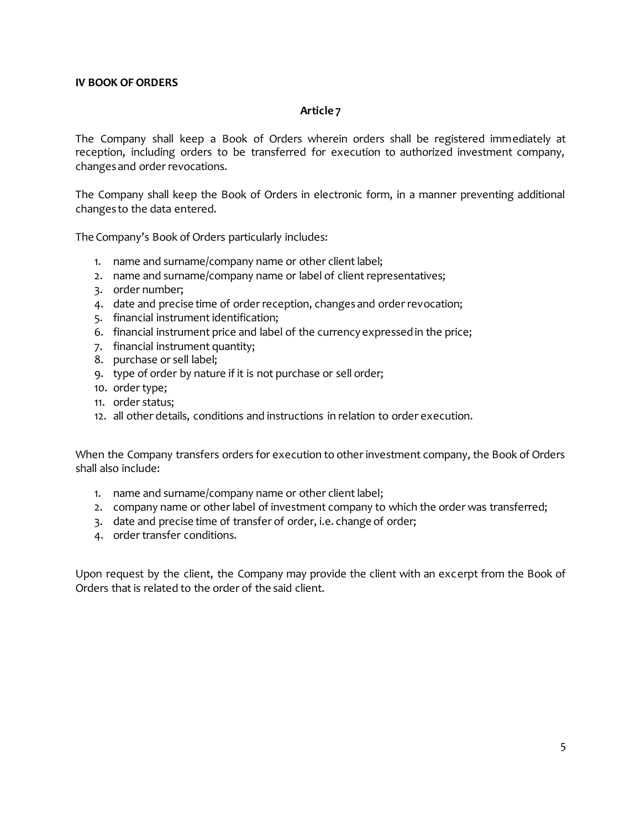#### **Article 7**

The Company shall keep a Book of Orders wherein orders shall be registered immediately at reception, including orders to be transferred for execution to authorized investment company, changes and order revocations.

The Company shall keep the Book of Orders in electronic form, in a manner preventing additional changes to the data entered.

The Company's Book of Orders particularly includes:

- 1. name and surname/company name or other client label;
- 2. name and surname/company name or label of client representatives;
- 3. order number;
- 4. date and precise time of order reception, changes and order revocation;
- 5. financial instrument identification;
- 6. financial instrument price and label of the currency expressed in the price;
- 7. financial instrument quantity;
- 8. purchase or sell label;
- 9. type of order by nature if it is not purchase or sell order;
- 10. order type;
- 11. order status;
- 12. all other details, conditions and instructions in relation to order execution.

When the Company transfers orders for execution to other investment company, the Book of Orders shall also include:

- 1. name and surname/company name or other client label;
- 2. company name or other label of investment company to which the order was transferred;
- 3. date and precise time of transfer of order, i.e. change of order;
- 4. order transfer conditions.

Upon request by the client, the Company may provide the client with an excerpt from the Book of Orders that is related to the order of the said client.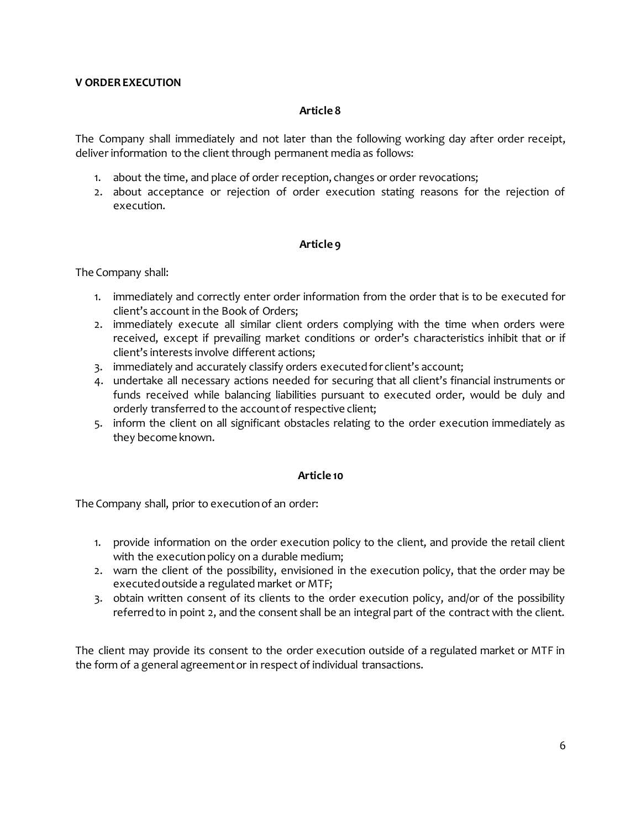## **V ORDER EXECUTION**

#### **Article 8**

The Company shall immediately and not later than the following working day after order receipt, deliver information to the client through permanent media as follows:

- 1. about the time, and place of order reception, changes or order revocations;
- 2. about acceptance or rejection of order execution stating reasons for the rejection of execution.

## **Article 9**

The Company shall:

- 1. immediately and correctly enter order information from the order that is to be executed for client's account in the Book of Orders;
- 2. immediately execute all similar client orders complying with the time when orders were received, except if prevailing market conditions or order's characteristics inhibit that or if client's interests involve different actions;
- 3. immediately and accurately classify orders executed for client's account;
- 4. undertake all necessary actions needed for securing that all client's financial instruments or funds received while balancing liabilities pursuant to executed order, would be duly and orderly transferred to the account of respective client;
- 5. inform the client on all significant obstacles relating to the order execution immediately as they become known.

## **Article 10**

The Company shall, prior to execution of an order:

- 1. provide information on the order execution policy to the client, and provide the retail client with the execution policy on a durable medium;
- 2. warn the client of the possibility, envisioned in the execution policy, that the order may be executed outside a regulated market or MTF;
- 3. obtain written consent of its clients to the order execution policy, and/or of the possibility referred to in point 2, and the consent shall be an integral part of the contract with the client.

The client may provide its consent to the order execution outside of a regulated market or MTF in the form of a general agreement or in respect of individual transactions.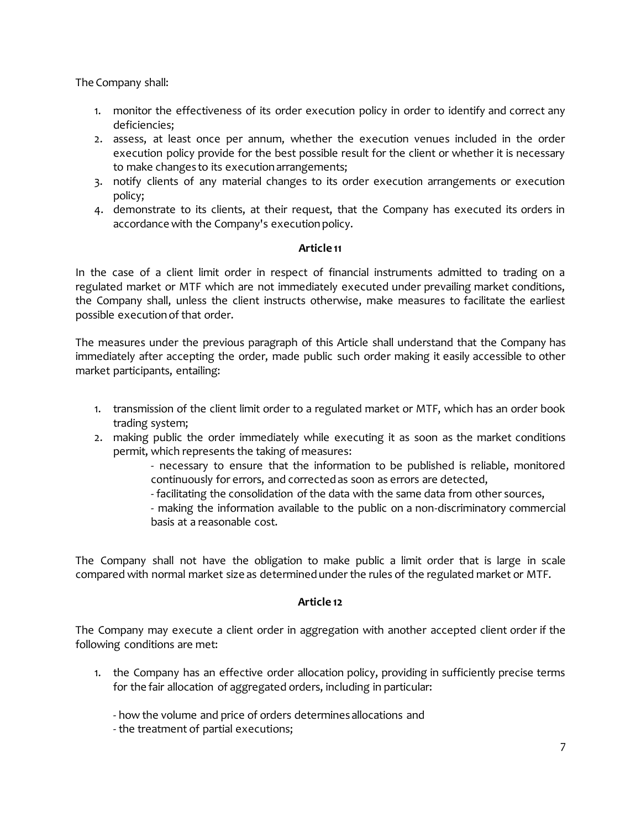The Company shall:

- 1. monitor the effectiveness of its order execution policy in order to identify and correct any deficiencies;
- 2. assess, at least once per annum, whether the execution venues included in the order execution policy provide for the best possible result for the client or whether it is necessary to make changes to its execution arrangements;
- 3. notify clients of any material changes to its order execution arrangements or execution policy;
- 4. demonstrate to its clients, at their request, that the Company has executed its orders in accordance with the Company's execution policy.

# **Article 11**

In the case of a client limit order in respect of financial instruments admitted to trading on a regulated market or MTF which are not immediately executed under prevailing market conditions, the Company shall, unless the client instructs otherwise, make measures to facilitate the earliest possible execution of that order.

The measures under the previous paragraph of this Article shall understand that the Company has immediately after accepting the order, made public such order making it easily accessible to other market participants, entailing:

- 1. transmission of the client limit order to a regulated market or MTF, which has an order book trading system;
- 2. making public the order immediately while executing it as soon as the market conditions permit, which represents the taking of measures:

- necessary to ensure that the information to be published is reliable, monitored continuously for errors, and corrected as soon as errors are detected,

- facilitating the consolidation of the data with the same data from other sources,

- making the information available to the public on a non-discriminatory commercial basis at a reasonable cost.

The Company shall not have the obligation to make public a limit order that is large in scale compared with normal market size as determined under the rules of the regulated market or MTF.

# **Article 12**

The Company may execute a client order in aggregation with another accepted client order if the following conditions are met:

- 1. the Company has an effective order allocation policy, providing in sufficiently precise terms for the fair allocation of aggregated orders, including in particular:
	- how the volume and price of orders determines allocations and
	- the treatment of partial executions;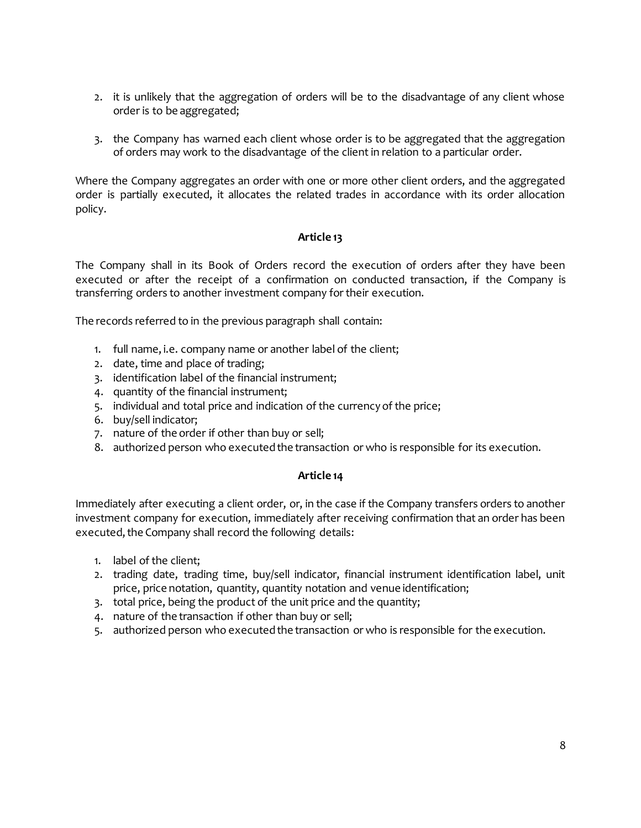- 2. it is unlikely that the aggregation of orders will be to the disadvantage of any client whose order is to be aggregated;
- 3. the Company has warned each client whose order is to be aggregated that the aggregation of orders may work to the disadvantage of the client in relation to a particular order.

Where the Company aggregates an order with one or more other client orders, and the aggregated order is partially executed, it allocates the related trades in accordance with its order allocation policy.

# **Article 13**

The Company shall in its Book of Orders record the execution of orders after they have been executed or after the receipt of a confirmation on conducted transaction, if the Company is transferring orders to another investment company for their execution.

The records referred to in the previous paragraph shall contain:

- 1. full name, i.e. company name or another label of the client;
- 2. date, time and place of trading;
- 3. identification label of the financial instrument;
- 4. quantity of the financial instrument;
- 5. individual and total price and indication of the currency of the price;
- 6. buy/sell indicator;
- 7. nature of the order if other than buy or sell;
- 8. authorized person who executed the transaction or who is responsible for its execution.

## **Article 14**

Immediately after executing a client order, or, in the case if the Company transfers orders to another investment company for execution, immediately after receiving confirmation that an order has been executed, the Company shall record the following details:

- 1. label of the client;
- 2. trading date, trading time, buy/sell indicator, financial instrument identification label, unit price, price notation, quantity, quantity notation and venue identification;
- 3. total price, being the product of the unit price and the quantity;
- 4. nature of the transaction if other than buy or sell;
- 5. authorized person who executed the transaction or who is responsible for the execution.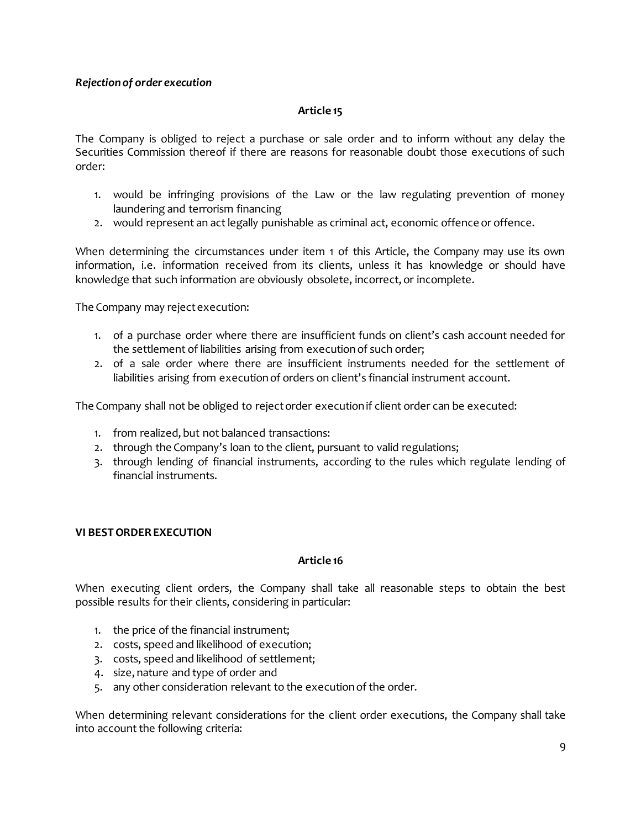# *Rejection of order execution*

## **Article 15**

The Company is obliged to reject a purchase or sale order and to inform without any delay the Securities Commission thereof if there are reasons for reasonable doubt those executions of such order:

- 1. would be infringing provisions of the Law or the law regulating prevention of money laundering and terrorism financing
- 2. would represent an act legally punishable as criminal act, economic offence or offence.

When determining the circumstances under item 1 of this Article, the Company may use its own information, i.e. information received from its clients, unless it has knowledge or should have knowledge that such information are obviously obsolete, incorrect, or incomplete.

The Company may reject execution:

- 1. of a purchase order where there are insufficient funds on client's cash account needed for the settlement of liabilities arising from execution of such order;
- 2. of a sale order where there are insufficient instruments needed for the settlement of liabilities arising from execution of orders on client's financial instrument account.

The Company shall not be obliged to reject order execution if client order can be executed:

- 1. from realized, but not balanced transactions:
- 2. through the Company's loan to the client, pursuant to valid regulations;
- 3. through lending of financial instruments, according to the rules which regulate lending of financial instruments.

# **VI BESTORDER EXECUTION**

## **Article 16**

When executing client orders, the Company shall take all reasonable steps to obtain the best possible results for their clients, considering in particular:

- 1. the price of the financial instrument;
- 2. costs, speed and likelihood of execution;
- 3. costs, speed and likelihood of settlement;
- 4. size, nature and type of order and
- 5. any other consideration relevant to the execution of the order.

When determining relevant considerations for the client order executions, the Company shall take into account the following criteria: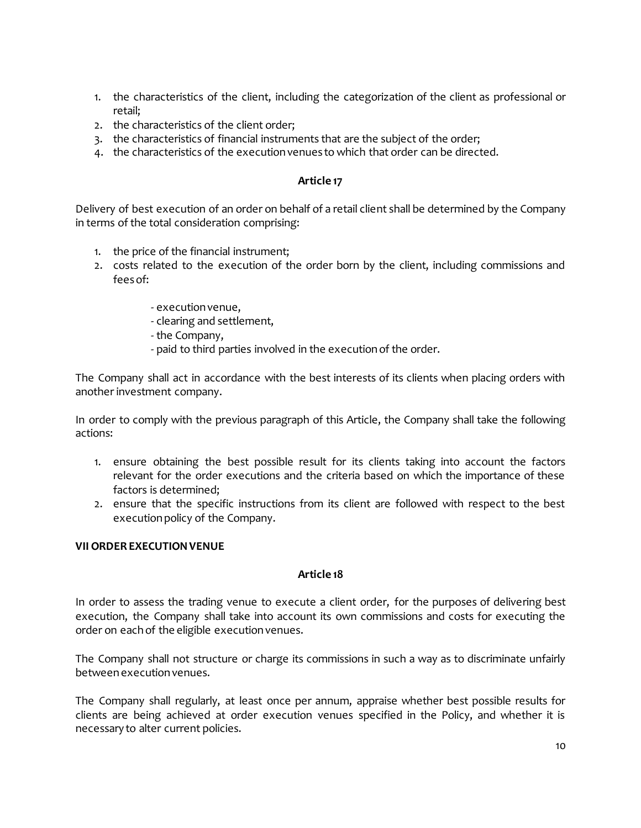- 1. the characteristics of the client, including the categorization of the client as professional or retail;
- 2. the characteristics of the client order;
- 3. the characteristics of financial instruments that are the subject of the order;
- 4. the characteristics of the execution venues to which that order can be directed.

## **Article 17**

Delivery of best execution of an order on behalf of a retail client shall be determined by the Company in terms of the total consideration comprising:

- 1. the price of the financial instrument;
- 2. costs related to the execution of the order born by the client, including commissions and fees of:
	- execution venue,
	- clearing and settlement,
	- the Company,
	- paid to third parties involved in the execution of the order.

The Company shall act in accordance with the best interests of its clients when placing orders with another investment company.

In order to comply with the previous paragraph of this Article, the Company shall take the following actions:

- 1. ensure obtaining the best possible result for its clients taking into account the factors relevant for the order executions and the criteria based on which the importance of these factors is determined;
- 2. ensure that the specific instructions from its client are followed with respect to the best execution policy of the Company.

## **VII ORDER EXECUTION VENUE**

## **Article 18**

In order to assess the trading venue to execute a client order, for the purposes of delivering best execution, the Company shall take into account its own commissions and costs for executing the order on each of the eligible execution venues.

The Company shall not structure or charge its commissions in such a way as to discriminate unfairly between execution venues.

The Company shall regularly, at least once per annum, appraise whether best possible results for clients are being achieved at order execution venues specified in the Policy, and whether it is necessary to alter current policies.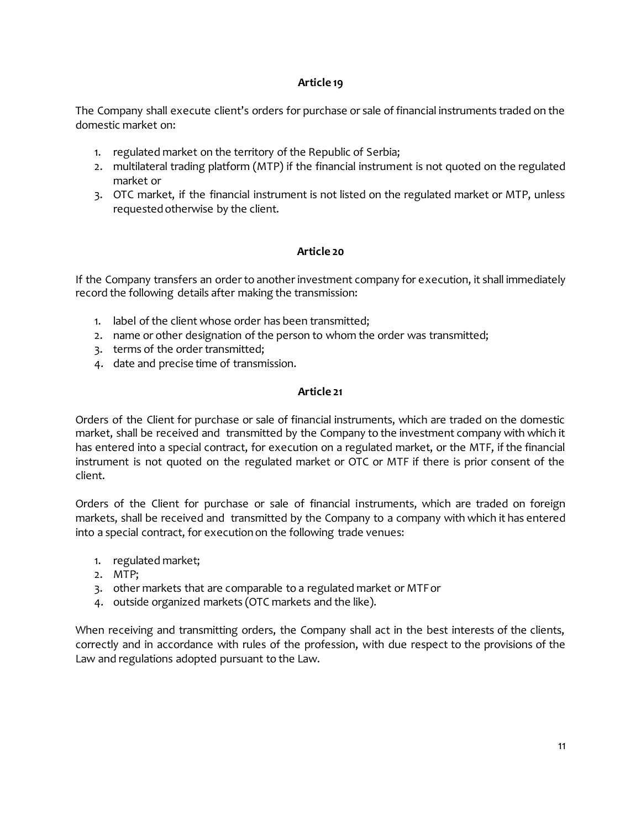# **Article 19**

The Company shall execute client's orders for purchase or sale of financial instruments traded on the domestic market on:

- 1. regulated market on the territory of the Republic of Serbia;
- 2. multilateral trading platform (MTP) if the financial instrument is not quoted on the regulated market or
- 3. OTC market, if the financial instrument is not listed on the regulated market or MTP, unless requested otherwise by the client.

# **Article 20**

If the Company transfers an order to another investment company for execution, it shall immediately record the following details after making the transmission:

- 1. label of the client whose order has been transmitted;
- 2. name or other designation of the person to whom the order was transmitted;
- 3. terms of the order transmitted;
- 4. date and precise time of transmission.

# **Article 21**

Orders of the Client for purchase or sale of financial instruments, which are traded on the domestic market, shall be received and transmitted by the Company to the investment company with which it has entered into a special contract, for execution on a regulated market, or the MTF, if the financial instrument is not quoted on the regulated market or OTC or MTF if there is prior consent of the client.

Orders of the Client for purchase or sale of financial instruments, which are traded on foreign markets, shall be received and transmitted by the Company to a company with which it has entered into a special contract, for execution on the following trade venues:

- 1. regulated market;
- 2. MTP;
- 3. other markets that are comparable to a regulated market or MTF or
- 4. outside organized markets (OTC markets and the like).

When receiving and transmitting orders, the Company shall act in the best interests of the clients, correctly and in accordance with rules of the profession, with due respect to the provisions of the Law and regulations adopted pursuant to the Law.